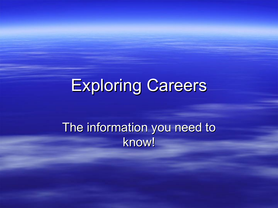## Exploring Careers

#### The information you need to know!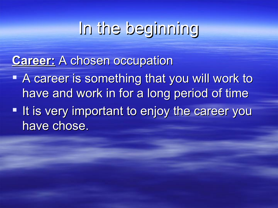## In the beginning

#### **Career: A chosen occupation**

A career is something that you will work to have and work in for a long period of time **- It is very important to enjoy the career you** have chose.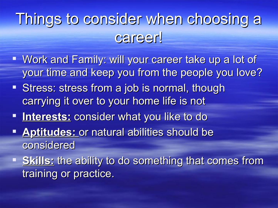## Things to consider when choosing a career!

- " Work and Family: will your career take up a lot of your time and keep you from the people you love?
- Stress: stress from a job is normal, though carrying it over to your home life is not
- **Interests:** consider what you like to do
- **Aptitudes:** or natural abilities should be considered
- **Skills:** the ability to do something that comes from training or practice.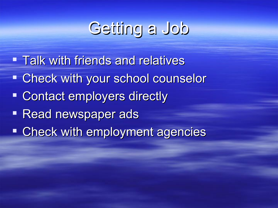## Getting a Job

- **Talk with friends and relatives**
- Check with your school counselor
- **Contact employers directly**
- **Read newspaper ads**
- **Check with employment agencies**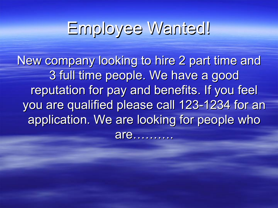#### Employee Wanted!

New company looking to hire 2 part time and 3 full time people. We have a good reputation for pay and benefits. If you feel you are qualified please call 123-1234 for an application. We are looking for people who are……….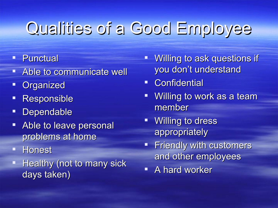# Qualities of a Good Employee

- **Punctual**
- Able to communicate well
- **Organized**
- **Responsible**
- **Dependable**
- Able to leave personal problems at home
- **Honest**
- Healthy (not to many sick days taken)
- **Willing to ask questions if** you don't understand
- Confidential
- " Willing to work as a team member
- **Willing to dress** appropriately
- **Friendly with customers** and other employees
- **A** hard worker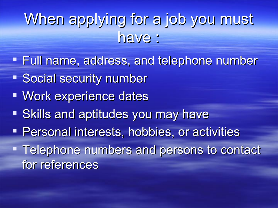## When applying for a job you must have :

- **Full name, address, and telephone number**
- **Social security number**
- Work experience dates
- **Skills and aptitudes you may have**
- **Personal interests, hobbies, or activities**
- Telephone numbers and persons to contact for references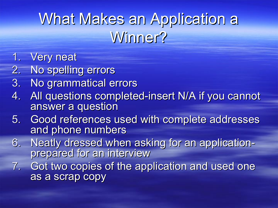## What Makes an Application a Winner?

- 1. Very neat
- 2. No spelling errors
- 3. No grammatical errors
- 4. All questions completed-insert N/A if you cannot answer a question
- 5. Good references used with complete addresses and phone numbers
- 6. Neatly dressed when asking for an applicationprepared for an interview
- 7. Got two copies of the application and used one as a scrap copy